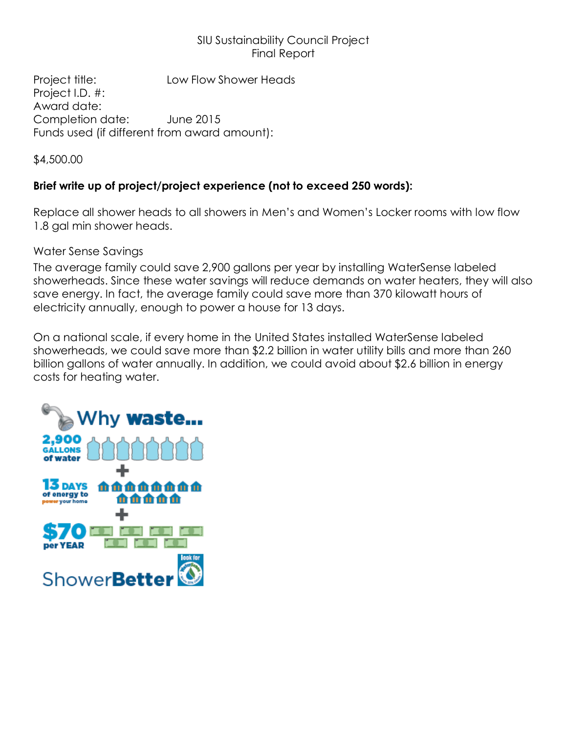## SIU Sustainability Council Project Final Report

Project title: Low Flow Shower Heads Project I.D. #: Award date: Completion date: June 2015 Funds used (if different from award amount):

\$4,500.00

# **Brief write up of project/project experience (not to exceed 250 words):**

Replace all shower heads to all showers in Men's and Women's Locker rooms with low flow 1.8 gal min shower heads.

Water Sense Savings

The average family could save 2,900 gallons per year by installing [WaterSense labeled](http://www.epa.gov/WaterSense/product_search.html?Category=4)  [showerheads.](http://www.epa.gov/WaterSense/product_search.html?Category=4) Since these water savings will reduce demands on water heaters, they will also save energy. In fact, the average family could save more than 370 kilowatt hours of electricity annually, enough to power a house for 13 days.

On a national scale, if every home in the United States installed WaterSense labeled showerheads, we could save more than \$2.2 billion in water utility bills and more than 260 billion gallons of water annually. In addition, we could avoid about \$2.6 billion in energy costs for heating water.

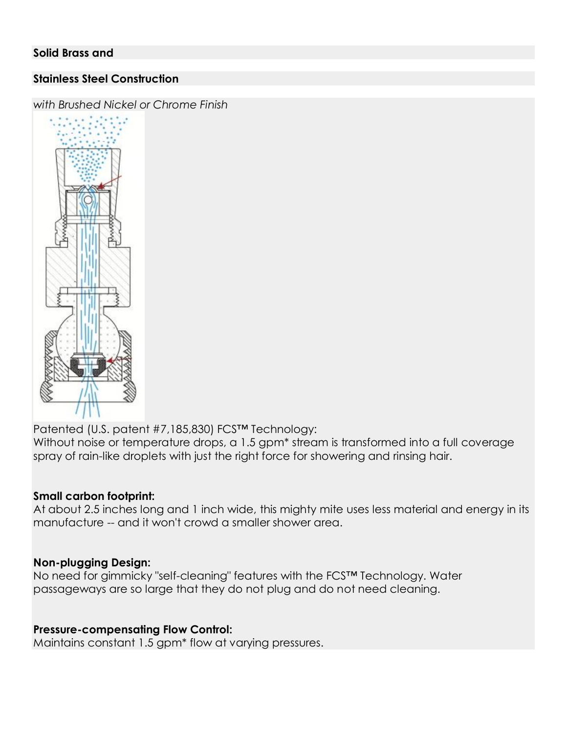### **Stainless Steel Construction**

*with Brushed Nickel or Chrome Finish*



Patented (U.S. patent #7,185,830) FCS™ Technology:

Without noise or temperature drops, a 1.5 gpm<sup>\*</sup> stream is transformed into a full coverage spray of rain-like droplets with just the right force for showering and rinsing hair.

### **Small carbon footprint:**

At about 2.5 inches long and 1 inch wide, this mighty mite uses less material and energy in its manufacture -- and it won't crowd a smaller shower area.

### **Non-plugging Design:**

No need for gimmicky "self-cleaning" features with the FCS™ Technology. Water passageways are so large that they do not plug and do not need cleaning.

### **Pressure-compensating Flow Control:**

Maintains constant 1.5 gpm\* flow at varying pressures.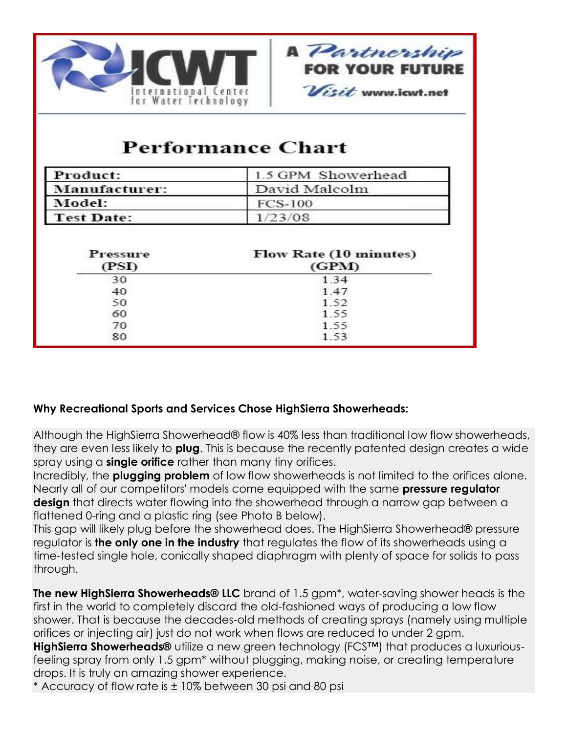



# **Performance Chart**

| Product:          | 1.5 GPM Showerhead |
|-------------------|--------------------|
| Manufacturer:     | David Malcolm      |
| Model:            | <b>FCS-100</b>     |
| <b>Test Date:</b> | 1/23/08            |

| Pressure<br>(PSI) | <b>Flow Rate (10 minutes)</b><br>(GPM) |
|-------------------|----------------------------------------|
| 30                | 1.34                                   |
| 40                | 1.47                                   |
| 50                | 1.52                                   |
| 60                | 1.55                                   |
| 70                | 1.55                                   |
| 80                | 1.53                                   |

## **Why Recreational Sports and Services Chose HighSierra Showerheads:**

Although the HighSierra Showerhead® flow is 40% less than traditional low flow showerheads, they are even less likely to **plug**. This is because the recently patented design creates a wide spray using a **single orifice** rather than many tiny orifices.

Incredibly, the **plugging problem** of low flow showerheads is not limited to the orifices alone. Nearly all of our competitors' models come equipped with the same **pressure regulator design** that directs water flowing into the showerhead through a narrow gap between a flattened 0-ring and a plastic ring (see Photo B below).

This gap will likely plug before the showerhead does. The HighSierra Showerhead® pressure regulator is **the only one in the industry** that regulates the flow of its showerheads using a time-tested single hole, conically shaped diaphragm with plenty of space for solids to pass through.

**The new HighSierra Showerheads® LLC** brand of 1.5 gpm<sup>\*</sup>, water-saving shower heads is the first in the world to completely discard the old-fashioned ways of producing a low flow shower. That is because the decades-old methods of creating sprays (namely using multiple orifices or injecting air) just do not work when flows are reduced to under 2 gpm.

**HighSierra Showerheads®** utilize a new green technology (FCS™) that produces a luxuriousfeeling spray from only 1.5 gpm\* without plugging, making noise, or creating temperature drops. It is truly an amazing shower experience.

\* Accuracy of flow rate is ± 10% between 30 psi and 80 psi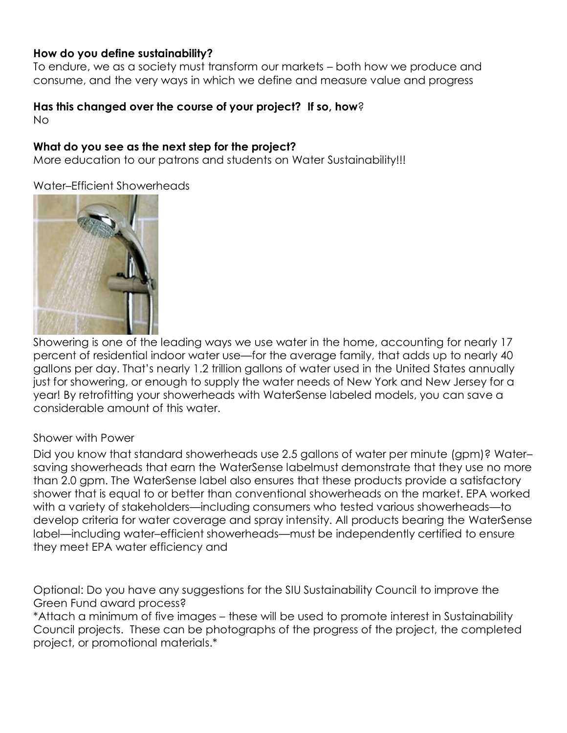### **How do you define sustainability?**

To endure, we as a society must transform our markets – both how we produce and consume, and the very ways in which we define and measure value and progress

#### **Has this changed over the course of your project? If so, how**? No

### **What do you see as the next step for the project?**

More education to our patrons and students on Water Sustainability!!!

Water–Efficient Showerheads



Showering is one of the leading ways we use water in the home, accounting for nearly 17 percent of residential indoor water use—for the average family, that adds up to nearly 40 gallons per day. That's nearly 1.2 trillion gallons of water used in the United States annually just for showering, or enough to supply the water needs of New York and New Jersey for a year! By retrofitting your [showerheads](http://www.epa.gov/WaterSense/product_search.html?Category=4) with WaterSense labeled models, you can save a considerable amount of this water.

### Shower with Power

Did you know that standard showerheads use 2.5 gallons of water per minute (gpm)? Water– saving showerheads that earn the [WaterSense labelm](http://www.epa.gov/WaterSense/about_us/watersense_label.html)ust demonstrate that they use no more than 2.0 gpm. The WaterSense label also ensures that these products provide a satisfactory shower that is equal to or better than conventional showerheads on the market. EPA worked with a variety of stakeholders—including consumers who tested various showerheads—to develop criteria for water coverage and spray intensity. All products bearing the [WaterSense](http://www.epa.gov/WaterSense/about_us/watersense_label.html)  [label](http://www.epa.gov/WaterSense/about_us/watersense_label.html)—including water–efficient showerheads—must be independently certified to ensure they meet EPA water efficiency and

Optional: Do you have any suggestions for the SIU Sustainability Council to improve the Green Fund award process?

\*Attach a minimum of five images – these will be used to promote interest in Sustainability Council projects. These can be photographs of the progress of the project, the completed project, or promotional materials.\*